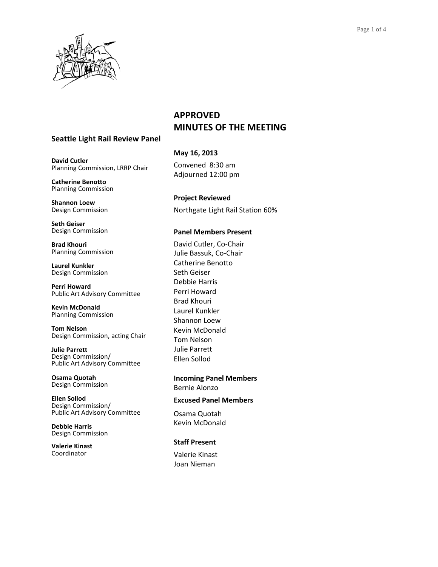

## **APPROVED MINUTES OF THE MEETING**

## **Seattle Light Rail Review Panel**

**David Cutler** Planning Commission, LRRP Chair

**Catherine Benotto** Planning Commission

**Shannon Loew** Design Commission

**Seth Geiser** Design Commission

**Brad Khouri** Planning Commission

**Laurel Kunkler** Design Commission

**Perri Howard** Public Art Advisory Committee

**Kevin McDonald** Planning Commission

**Tom Nelson** Design Commission, acting Chair

**Julie Parrett** Design Commission/ Public Art Advisory Committee

**Osama Quotah** Design Commission

**Ellen Sollod** Design Commission/ Public Art Advisory Committee

**Debbie Harris** Design Commission

**Valerie Kinast** Coordinator

# **May 16, 2013** Convened 8:30 am

Adjourned 12:00 pm

**Project Reviewed**  Northgate Light Rail Station 60%

## **Panel Members Present**

David Cutler, Co-Chair Julie Bassuk, Co-Chair Catherine Benotto Seth Geiser Debbie Harris Perri Howard Brad Khouri Laurel Kunkler Shannon Loew Kevin McDonald Tom Nelson Julie Parrett Ellen Sollod

**Incoming Panel Members** Bernie Alonzo

## **Excused Panel Members**

Osama Quotah Kevin McDonald

## **Staff Present**

Valerie Kinast Joan Nieman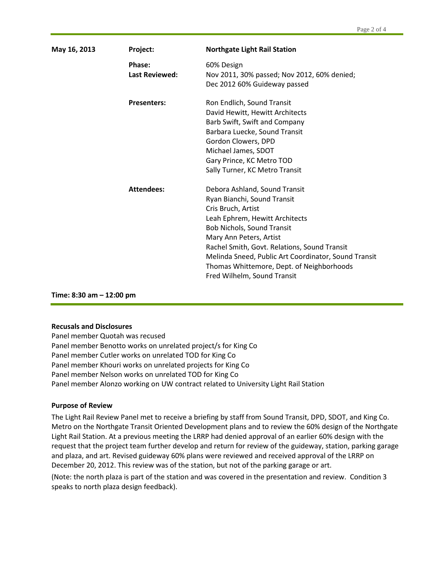| May 16, 2013 | Project:                        | <b>Northgate Light Rail Station</b>                                                                                                                                                                                                                                                                                                                               |
|--------------|---------------------------------|-------------------------------------------------------------------------------------------------------------------------------------------------------------------------------------------------------------------------------------------------------------------------------------------------------------------------------------------------------------------|
|              | Phase:<br><b>Last Reviewed:</b> | 60% Design<br>Nov 2011, 30% passed; Nov 2012, 60% denied;<br>Dec 2012 60% Guideway passed                                                                                                                                                                                                                                                                         |
|              | <b>Presenters:</b>              | Ron Endlich, Sound Transit<br>David Hewitt, Hewitt Architects<br>Barb Swift, Swift and Company<br>Barbara Luecke, Sound Transit<br>Gordon Clowers, DPD<br>Michael James, SDOT<br>Gary Prince, KC Metro TOD<br>Sally Turner, KC Metro Transit                                                                                                                      |
|              | <b>Attendees:</b>               | Debora Ashland, Sound Transit<br>Ryan Bianchi, Sound Transit<br>Cris Bruch, Artist<br>Leah Ephrem, Hewitt Architects<br>Bob Nichols, Sound Transit<br>Mary Ann Peters, Artist<br>Rachel Smith, Govt. Relations, Sound Transit<br>Melinda Sneed, Public Art Coordinator, Sound Transit<br>Thomas Whittemore, Dept. of Neighborhoods<br>Fred Wilhelm, Sound Transit |

**Time: 8:30 am – 12:00 pm**

#### **Recusals and Disclosures**

Panel member Quotah was recused Panel member Benotto works on unrelated project/s for King Co Panel member Cutler works on unrelated TOD for King Co Panel member Khouri works on unrelated projects for King Co Panel member Nelson works on unrelated TOD for King Co Panel member Alonzo working on UW contract related to University Light Rail Station

#### **Purpose of Review**

The Light Rail Review Panel met to receive a briefing by staff from Sound Transit, DPD, SDOT, and King Co. Metro on the Northgate Transit Oriented Development plans and to review the 60% design of the Northgate Light Rail Station. At a previous meeting the LRRP had denied approval of an earlier 60% design with the request that the project team further develop and return for review of the guideway, station, parking garage and plaza, and art. Revised guideway 60% plans were reviewed and received approval of the LRRP on December 20, 2012. This review was of the station, but not of the parking garage or art.

(Note: the north plaza is part of the station and was covered in the presentation and review. Condition 3 speaks to north plaza design feedback).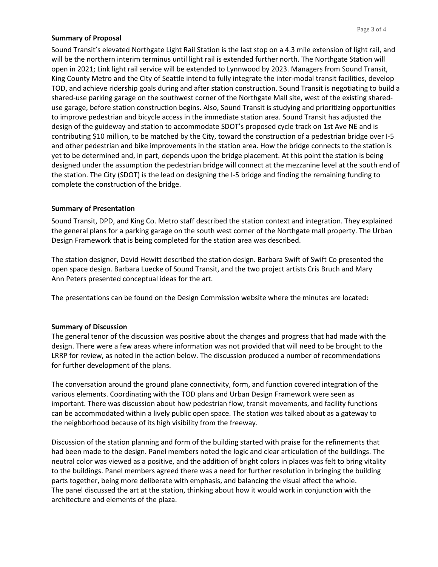#### **Summary of Proposal**

Sound Transit's elevated Northgate Light Rail Station is the last stop on a 4.3 mile extension of light rail, and will be the northern interim terminus until light rail is extended further north. The Northgate Station will open in 2021; Link light rail service will be extended to Lynnwood by 2023. Managers from Sound Transit, King County Metro and the City of Seattle intend to fully integrate the inter-modal transit facilities, develop TOD, and achieve ridership goals during and after station construction. Sound Transit is negotiating to build a shared-use parking garage on the southwest corner of the Northgate Mall site, west of the existing shareduse garage, before station construction begins. Also, Sound Transit is studying and prioritizing opportunities to improve pedestrian and bicycle access in the immediate station area. Sound Transit has adjusted the design of the guideway and station to accommodate SDOT's proposed cycle track on 1st Ave NE and is contributing \$10 million, to be matched by the City, toward the construction of a pedestrian bridge over I-5 and other pedestrian and bike improvements in the station area. How the bridge connects to the station is yet to be determined and, in part, depends upon the bridge placement. At this point the station is being designed under the assumption the pedestrian bridge will connect at the mezzanine level at the south end of the station. The City (SDOT) is the lead on designing the I-5 bridge and finding the remaining funding to complete the construction of the bridge.

#### **Summary of Presentation**

Sound Transit, DPD, and King Co. Metro staff described the station context and integration. They explained the general plans for a parking garage on the south west corner of the Northgate mall property. The Urban Design Framework that is being completed for the station area was described.

The station designer, David Hewitt described the station design. Barbara Swift of Swift Co presented the open space design. Barbara Luecke of Sound Transit, and the two project artists Cris Bruch and Mary Ann Peters presented conceptual ideas for the art.

The presentations can be found on the Design Commission website where the minutes are located:

#### **Summary of Discussion**

The general tenor of the discussion was positive about the changes and progress that had made with the design. There were a few areas where information was not provided that will need to be brought to the LRRP for review, as noted in the action below. The discussion produced a number of recommendations for further development of the plans.

The conversation around the ground plane connectivity, form, and function covered integration of the various elements. Coordinating with the TOD plans and Urban Design Framework were seen as important. There was discussion about how pedestrian flow, transit movements, and facility functions can be accommodated within a lively public open space. The station was talked about as a gateway to the neighborhood because of its high visibility from the freeway.

Discussion of the station planning and form of the building started with praise for the refinements that had been made to the design. Panel members noted the logic and clear articulation of the buildings. The neutral color was viewed as a positive, and the addition of bright colors in places was felt to bring vitality to the buildings. Panel members agreed there was a need for further resolution in bringing the building parts together, being more deliberate with emphasis, and balancing the visual affect the whole. The panel discussed the art at the station, thinking about how it would work in conjunction with the architecture and elements of the plaza.